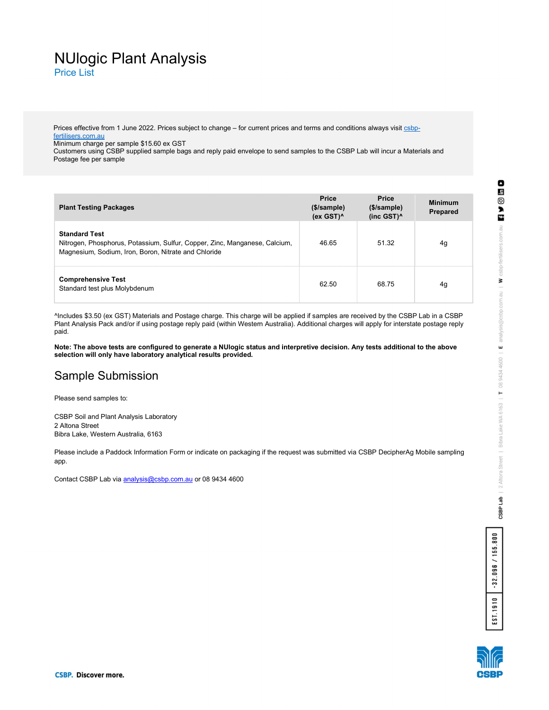## NUlogic Plant Analysis Price List

Prices effective from 1 June 2022. Prices subject to change – for current prices and terms and conditions always visit csbpfertilisers.com.au

Minimum charge per sample \$15.60 ex GST

Customers using CSBP supplied sample bags and reply paid envelope to send samples to the CSBP Lab will incur a Materials and Postage fee per sample

| <b>Plant Testing Packages</b>                                                                                                                              | <b>Price</b><br>(\$/sample)<br>(ex GST) <sup>^</sup> | <b>Price</b><br>(\$/sample)<br>(inc $GST$ ) <sup><math>\wedge</math></sup> | <b>Minimum</b><br>Prepared |
|------------------------------------------------------------------------------------------------------------------------------------------------------------|------------------------------------------------------|----------------------------------------------------------------------------|----------------------------|
| <b>Standard Test</b><br>Nitrogen, Phosphorus, Potassium, Sulfur, Copper, Zinc, Manganese, Calcium,<br>Magnesium, Sodium, Iron, Boron, Nitrate and Chloride | 46.65                                                | 51.32                                                                      | 4g                         |
| <b>Comprehensive Test</b><br>Standard test plus Molybdenum                                                                                                 | 62.50                                                | 68.75                                                                      | 4g                         |

^Includes \$3.50 (ex GST) Materials and Postage charge. This charge will be applied if samples are received by the CSBP Lab in a CSBP Plant Analysis Pack and/or if using postage reply paid (within Western Australia). Additional charges will apply for interstate postage reply<br>paid.<br>
Note: The above tests are configured to generate a NUlogic status and int paid.

Note: The above tests are configured to generate a NUlogic status and interpretive decision. Any tests additional to the above selection will only have laboratory analytical results provided.

# Sample Submission

Please send samples to:

CSBP Soil and Plant Analysis Laboratory 2 Altona Street Bibra Lake, Western Australia, 6163

Please include a Paddock Information Form or indicate on packaging if the request was submitted via CSBP DecipherAg Mobile sampling<br>app.<br>Contact CSBP Lab via <u>analysis@csbp.com.au</u> or 08 9434 4600<br>and the rest was submitte app.

Contact CSBP Lab via analysis@csbp.com.au or 08 9434 4600



EST.1910 -32.096 / 155.800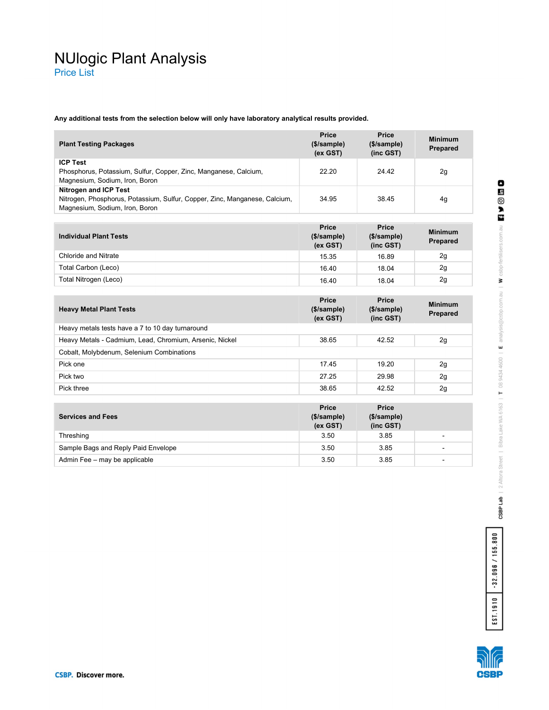# NUlogic Plant Analysis Price List

Any additional tests from the selection below will only have laboratory analytical results provided.

| <b>Plant Testing Packages</b>                                                                                                                | <b>Price</b><br>(\$/sample)<br>(ex GST) | <b>Price</b><br>(\$/sample)<br>$(inc$ GST $)$ | <b>Minimum</b><br>Prepared |
|----------------------------------------------------------------------------------------------------------------------------------------------|-----------------------------------------|-----------------------------------------------|----------------------------|
| <b>ICP Test</b><br>Phosphorus, Potassium, Sulfur, Copper, Zinc, Manganese, Calcium,<br>Magnesium, Sodium, Iron, Boron                        | 22.20                                   | 24.42                                         | 2g                         |
| <b>Nitrogen and ICP Test</b><br>Nitrogen, Phosphorus, Potassium, Sulfur, Copper, Zinc, Manganese, Calcium,<br>Magnesium, Sodium, Iron, Boron | 34.95                                   | 38.45                                         | 4g                         |
|                                                                                                                                              |                                         |                                               |                            |
| the about about 19 December 200 and 20                                                                                                       | <b>Price</b><br>$10.1 - 20.2 - 1 - 1$   | Price<br>$10.1 - 20.2 - 1 - 1$                | <b>Minimum</b>             |

| <b>Individual Plant Tests</b> | (\$/sample)<br>(ex GST) | (\$/sample)<br>$(inc$ GST $)$ | ,,,,,,,,,,,,,,<br>Prepared |
|-------------------------------|-------------------------|-------------------------------|----------------------------|
| Chloride and Nitrate          | 15.35                   | 16.89                         | 2g                         |
| Total Carbon (Leco)           | 16.40                   | 18.04                         | 2g                         |
| Total Nitrogen (Leco)         | 16.40                   | 18.04                         | 2g                         |

| <b>Heavy Metal Plant Tests</b>                          | Price<br>(\$/sample)<br>(ex GST) | Price<br>(\$/sample)<br>(inc GST) | <b>Minimum</b><br>Prepared |
|---------------------------------------------------------|----------------------------------|-----------------------------------|----------------------------|
| Heavy metals tests have a 7 to 10 day turnaround        |                                  |                                   |                            |
| Heavy Metals - Cadmium, Lead, Chromium, Arsenic, Nickel | 38.65                            | 42.52                             | 2g                         |
| Cobalt, Molybdenum, Selenium Combinations               |                                  |                                   |                            |
| Pick one                                                | 17.45                            | 19.20                             | 2g                         |
| Pick two                                                | 27.25                            | 29.98                             | 2g                         |
| Pick three                                              | 38.65                            | 42.52                             | 2g                         |

| <b>Services and Fees</b>            | <b>Price</b><br>(\$/sample)<br>(ex GST) | Price<br>(\$/sample)<br>$(inc$ GST $)$ |        |
|-------------------------------------|-----------------------------------------|----------------------------------------|--------|
| Threshing                           | 3.50                                    | 3.85                                   | $\sim$ |
| Sample Bags and Reply Paid Envelope | 3.50                                    | 3.85                                   | $\sim$ |
| Admin Fee - may be applicable       | 3.50                                    | 3.85                                   | $\sim$ |



 $EST.1910 - 32.096 / 155.800$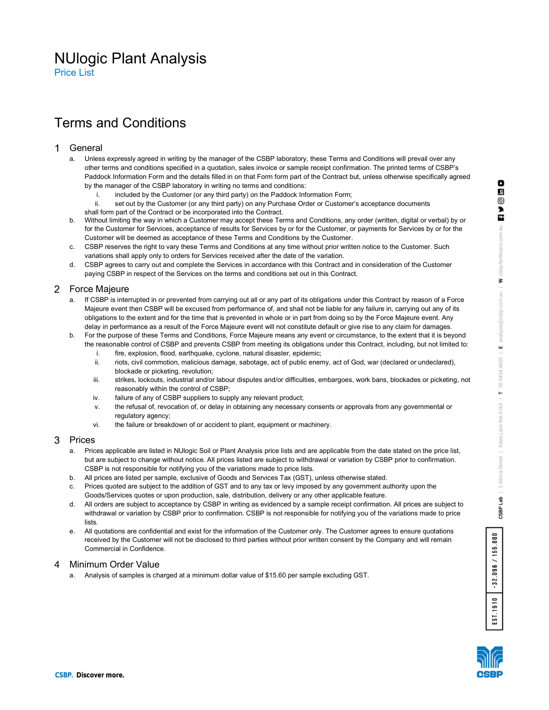Price List

# Terms and Conditions

## 1 General

- a. Unless expressly agreed in writing by the manager of the CSBP laboratory, these Terms and Conditions will prevail over any other terms and conditions specified in a quotation, sales invoice or sample receipt confirmation. The printed terms of CSBP's Paddock Information Form and the details filled in on that Form form part of the Contract but, unless otherwise specifically agreed<br>by the manager of the CSBB laboratory in writing no terms and conditions: by the manager of the CSBP laboratory in writing no terms and conditions:
	- i. included by the Customer (or any third party) on the Paddock Information Form;
	- $\ddot{a}$ . set out by the Customer (or any third party) on any Purchase Order or Customer's acceptance documents  $\ddot{a}$ . shall form part of the Contract or be incorporated into the Contract.
- b. Without limiting the way in which a Customer may accept these Terms and Conditions, any order (written, digital or verbal) by or for the Customer for Services, acceptance of results for Services by or for the Customer, or payments for Services by or for the<br>Customer will be deemed as acceptance of these Terms and Conditions by the Customer.<br>CSBP res Customer will be deemed as acceptance of these Terms and Conditions by the Customer.
- c. CSBP reserves the right to vary these Terms and Conditions at any time without prior written notice to the Customer. Such variations shall apply only to orders for Services received after the date of the variation.
- d. CSBP agrees to carry out and complete the Services in accordance with this Contract and in consideration of the Customer paying CSBP in respect of the Services on the terms and conditions set out in this Contract.

## 2 Force Majeure

- a. If CSBP is interrupted in or prevented from carrying out all or any part of its obligations under this Contract by reason of a Force Majeure event then CSBP will be excused from performance of, and shall not be liable for any failure in, carrying out any of its obligations to the extent and for the time that is prevented in whole or in part from doing so by the Force Majeure event. Any delay in performance as a result of the Force Majeure event will not constitute default or give rise to any claim for damages.
- b. For the purpose of these Terms and Conditions, Force Majeure means any event or circumstance, to the extent that it is beyond
	- i. fire, explosion, flood, earthquake, cyclone, natural disaster, epidemic;
	- ii. riots, civil commotion, malicious damage, sabotage, act of public enemy, act of God, war (declared or undeclared), blockade or picketing, revolution;
	- the reasonable control of CSBP and prevents CSBP from meeting its obligations under this Contract, including, but not limited to:<br>
	i. fire, explosion, flood, earthquake, cyclone, natural disaster, epidemic;<br>
	ii. riots, civ iii. strikes, lockouts, industrial and/or labour disputes and/or difficulties, embargoes, work bans, blockades or picketing, not reasonably within the control of CSBP;
		- iv. failure of any of CSBP suppliers to supply any relevant product;
		- v. the refusal of, revocation of, or delay in obtaining any necessary consents or approvals from any governmental or regulatory agency;
		- vi. the failure or breakdown of or accident to plant, equipment or machinery.

#### 3 Prices

- a. Prices applicable are listed in NUlogic Soil or Plant Analysis price lists and are applicable from the date stated on the price list,<br>b. that are subject to change without notice. All prices listed are subject to withdr but are subject to change without notice. All prices listed are subject to withdrawal or variation by CSBP prior to confirmation. CSBP is not responsible for notifying you of the variations made to price lists.
- b. All prices are listed per sample, exclusive of Goods and Services Tax (GST), unless otherwise stated.
- c. Prices quoted are subject to the addition of GST and to any tax or levy imposed by any government authority upon the Goods/Services quotes or upon production, sale, distribution, delivery or any other applicable feature.
- d. All orders are subject to acceptance by CSBP in writing as evidenced by a sample receipt confirmation. All prices are subject to withdrawal or variation by CSBP prior to confirmation. CSBP is not responsible for notifying you of the variations made to price lists.
- e. All quotations are confidential and exist for the information of the Customer only. The Customer agrees to ensure quotations received by the Customer will not be disclosed to third parties without prior written consent received by the Customer will not be disclosed to third parties without prior written consent by the Company and will remain Commercial in Confidence.

#### 4 Minimum Order Value

a. Analysis of samples is charged at a minimum dollar value of \$15.60 per sample excluding GST.



EST.1910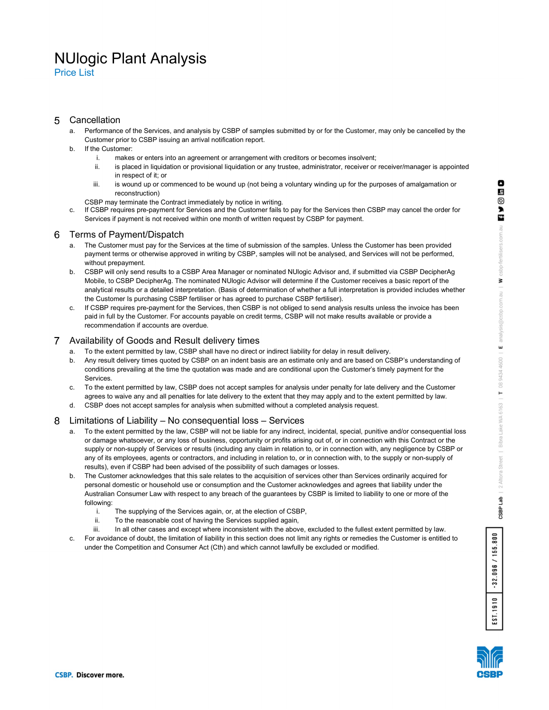Price List

## Cancellation

- a. Performance of the Services, and analysis by CSBP of samples submitted by or for the Customer, may only be cancelled by the Customer prior to CSBP issuing an arrival notification report.
- b. If the Customer:
	- i. makes or enters into an agreement or arrangement with creditors or becomes insolvent;
	- ii. is placed in liquidation or provisional liquidation or any trustee, administrator, receiver or receiver/manager is appointed in respect of it; or
	- iii. is wound up or commenced to be wound up (not being a voluntary winding up for the purposes of amalgamation or<br>E reconstruction)

CSBP may terminate the Contract immediately by notice in writing.

c. If CSBP requires pre-payment for Services and the Customer fails to pay for the Services then CSBP may cancel the order for **A**<br>Services if payment is not received within one month of written request by CSBP for payment Services if payment is not received within one month of written request by CSBP for payment.

#### Terms of Payment/Dispatch

- Terms of Payment/Dispatch<br>a. The Customer must pay for the Services at the time of submission of the samples. Unless the Customer has been provided<br>payment terms or otherwise approved in writing by CSBP, samples will not b payment terms or otherwise approved in writing by CSBP, samples will not be analysed, and Services will not be performed, without prepayment.
- b. CSBP will only send results to a CSBP Area Manager or nominated NUlogic Advisor and, if submitted via CSBP DecipherAg Mobile, to CSBP DecipherAg. The nominated NUlogic Advisor will determine if the Customer receives a basic report of the analytical results or a detailed interpretation. (Basis of determination of whether a full interpretation is provided includes whether the Customer Is purchasing CSBP fertiliser or has agreed to purchase CSBP fertiliser).
- c. If CSBP requires pre-payment for the Services, then CSBP is not obliged to send analysis results unless the invoice has been paid in full by the Customer. For accounts payable on credit terms, CSBP will not make results available or provide a recommendation if accounts are overdue.

#### Availability of Goods and Result delivery times

- a. To the extent permitted by law, CSBP shall have no direct or indirect liability for delay in result delivery.
- a. To the extent permitted by law, CSBP shall have no direct or indirect liability for delay in result delivery.<br>
Any result delivery times quoted by CSBP on an indent basis are an estimate only and are based on CSBP's und conditions prevailing at the time the quotation was made and are conditional upon the Customer's timely payment for the **Services**
- c. To the extent permitted by law, CSBP does not accept samples for analysis under penalty for late delivery and the Customer<br>agrees to waive any and all penalties for late delivery to the extent that they may apply and t agrees to waive any and all penalties for late delivery to the extent that they may apply and to the extent permitted by law.
- d. CSBP does not accept samples for analysis when submitted without a completed analysis request.

#### Limitations of Liability – No consequential loss – Services

- a. To the extent permitted by the law, CSBP will not be liable for any indirect, incidental, special, punitive and/or consequential loss or damage whatsoever, or any loss of business, opportunity or profits arising out of, or in connection with this Contract or the any of its employees, agents or contractors, and including in relation to, or in connection with, to the supply or non-supply of results), even if CSBP had been advised of the possibility of such damages or losses.
- supply or non-supply of Services or results (including any claim in relation to, or in connection with, any negligence by CSBP or<br>any of its employees, agents or contractors, and including in relation to, or in connection b. The Customer acknowledges that this sale relates to the acquisition of services other than Services ordinarily acquired for personal domestic or household use or consumption and the Customer acknowledges and agrees that liability under the Australian Consumer Law with respect to any breach of the guarantees by CSBP is limited to liability to one or more of the following:
	- i. The supplying of the Services again, or, at the election of CSBP,
	- ii. To the reasonable cost of having the Services supplied again,
	-
- iii. In all other cases and except where inconsistent with the above, excluded to the fullest extent permitted by law.<br>The avoidance of doubt, the limitation of liability in this section does not limit any rights or remedi c. For avoidance of doubt, the limitation of liability in this section does not limit any rights or remedies the Customer is entitled to under the Competition and Consumer Act (Cth) and which cannot lawfully be excluded or modified.



EST.1910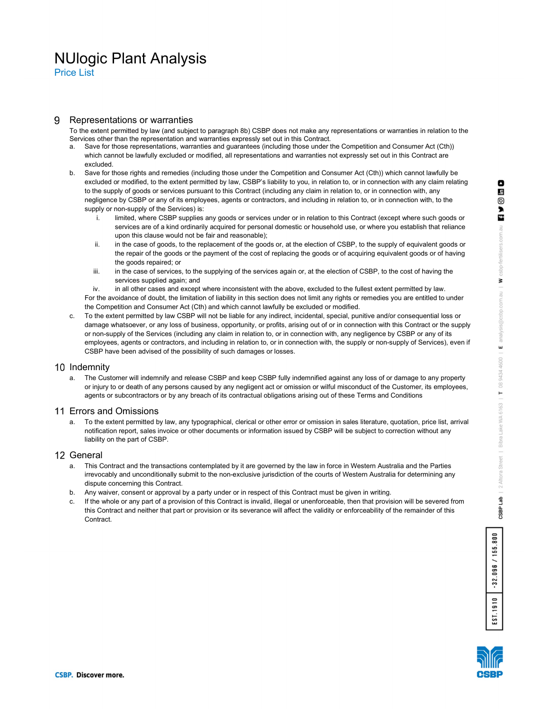Price List

### Representations or warranties

To the extent permitted by law (and subject to paragraph 8b) CSBP does not make any representations or warranties in relation to the Services other than the representation and warranties expressly set out in this Contract.

- Save for those representations, warranties and guarantees (including those under the Competition and Consumer Act (Cth)) which cannot be lawfully excluded or modified, all representations and warranties not expressly set out in this Contract are excluded.
- b. Save for those rights and remedies (including those under the Competition and Consumer Act (Cth)) which cannot lawfully be excluded or modified, to the extent permitted by law, CSBP's liability to you, in relation to, or in connection with any claim relating to the supply of goods or services pursuant to this Contract (including any claim in relation to, or in connection with, any negligence by CSBP or any of its employees, agents or contractors, and including in relation to, or in connection with, to the supply or non-supply of the Services) is:
	- i. Initial interact in the complies any goods or services under or in relation to this Contract (except where such goods or services are of a kind ordinarily acquired for personal domestic or household use, or where you establish that reliance upon this clause would not be fair and reasonable);
	- ii. in the case of goods, to the replacement of the goods or, at the election of CSBP, to the supply of equivalent goods or the repair of the goods or the payment of the cost of replacing the goods or of acquiring equivalent goods or of having the goods repaired; or
	- if the goods repaired, or<br>iii. in the case of services, to the supplying of the services again or, at the election of CSBP, to the cost of having the services supplied again; and

iv. in all other cases and except where inconsistent with the above, excluded to the fullest extent permitted by law. For the avoidance of doubt, the limitation of liability in this section does not limit any rights or remedies you are entitled to under the Competition and Consumer Act (Cth) and which cannot lawfully be excluded or modified.

c. To the extent permitted by law CSBP will not be liable for any indirect, incidental, special, punitive and/or consequential loss or<br>damage whatsoever, or any loss of business, opportunity, or profits, arising out of or damage whatsoever, or any loss of business, opportunity, or profits, arising out of or in connection with this Contract or the supply or non-supply of the Services (including any claim in relation to, or in connection with, any negligence by CSBP or any of its employees, agents or contractors, and including in relation to, or in connection with, the supply or non-supply of Services), even if CSBP have been advised of the possibility of such damages or losses.

### 10 Indemnity

a. The Customer will indemnify and release CSBP and keep CSBP fully indemnified against any loss of or damage to any property agents or subcontractors or by any breach of its contractual obligations arising out of these Terms and Conditions

#### Errors and Omissions

or injury to or death of any persons caused by any negligent act or omission or wilful misconduct of the Customer, its employees,<br>agents or subcontractors or by any breach of its contractual obligations arising out of thes a. To the extent permitted by law, any typographical, clerical or other error or omission in sales literature, quotation, price list, arrival notification report, sales invoice or other documents or information issued by CSBP will be subject to correction without any liability on the part of CSBP.

#### 12 General

- General<br>
a. This Contract and the transactions contemplated by it are governed by the law in force in Western Australia and the Parties<br>
irrevocably and unconditionally submit to the non-exclusive jurisdiction of the court irrevocably and unconditionally submit to the non-exclusive jurisdiction of the courts of Western Australia for determining any dispute concerning this Contract.
- b. Any waiver, consent or approval by a party under or in respect of this Contract must be given in writing.
- If the whole or any part of a provision of this Contract is invalid, illegal or unenforceable, then that provision will be severed from<br>this Contract and neither that part or provision or its severance will affect the vali this Contract and neither that part or provision or its severance will affect the validity or enforceability of the remainder of this **Contract**



 $-32.096 / 155.800$ 

EST.1910